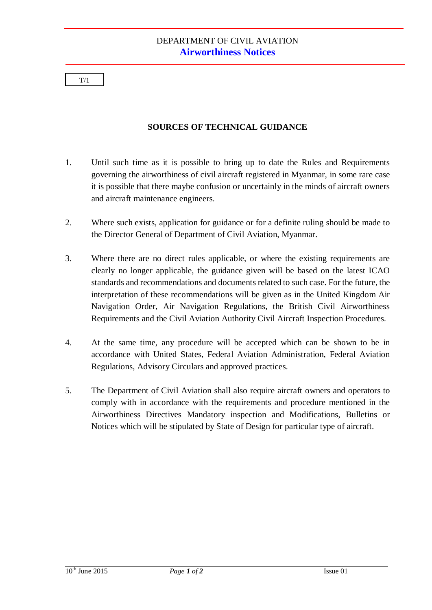$T/1$ 

## **SOURCES OF TECHNICAL GUIDANCE**

- 1. Until such time as it is possible to bring up to date the Rules and Requirements governing the airworthiness of civil aircraft registered in Myanmar, in some rare case it is possible that there maybe confusion or uncertainly in the minds of aircraft owners and aircraft maintenance engineers.
- 2. Where such exists, application for guidance or for a definite ruling should be made to the Director General of Department of Civil Aviation, Myanmar.
- 3. Where there are no direct rules applicable, or where the existing requirements are clearly no longer applicable, the guidance given will be based on the latest ICAO standards and recommendations and documents related to such case. For the future, the interpretation of these recommendations will be given as in the United Kingdom Air Navigation Order, Air Navigation Regulations, the British Civil Airworthiness Requirements and the Civil Aviation Authority Civil Aircraft Inspection Procedures.
- 4. At the same time, any procedure will be accepted which can be shown to be in accordance with United States, Federal Aviation Administration, Federal Aviation Regulations, Advisory Circulars and approved practices.
- 5. The Department of Civil Aviation shall also require aircraft owners and operators to comply with in accordance with the requirements and procedure mentioned in the Airworthiness Directives Mandatory inspection and Modifications, Bulletins or Notices which will be stipulated by State of Design for particular type of aircraft.